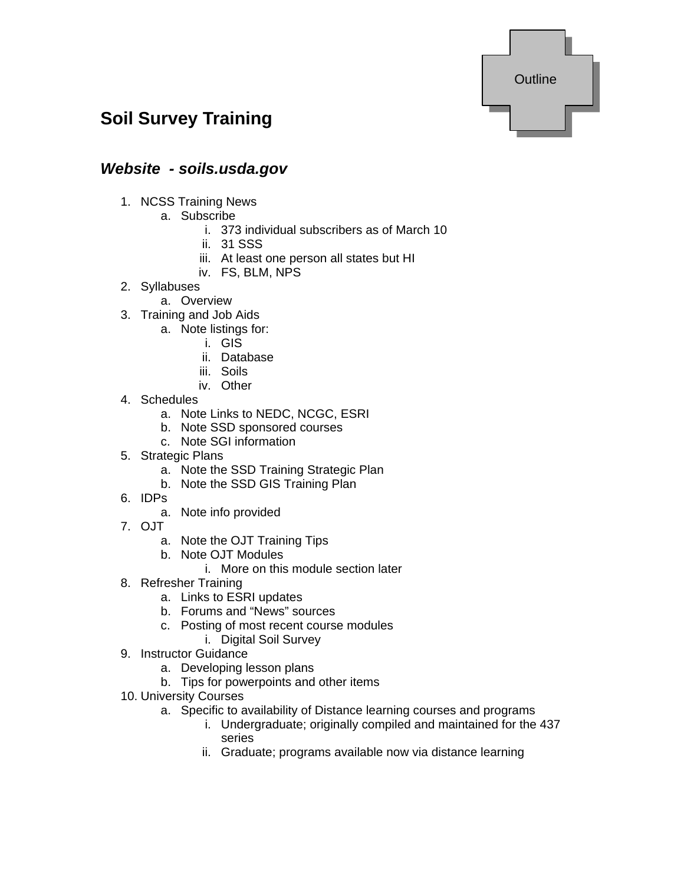

# **Soil Survey Training**

### *Website - soils.usda.gov*

- 1. NCSS Training News
	- a. Subscribe
		- i. 373 individual subscribers as of March 10
		- ii. 31 SSS
		- iii. At least one person all states but HI
		- iv. FS, BLM, NPS
- 2. Syllabuses
	- a. Overview
- 3. Training and Job Aids
	- a. Note listings for:
		- i. GIS
		- ii. Database
		- iii. Soils
		- iv. Other
- 4. Schedules
	- a. Note Links to NEDC, NCGC, ESRI
	- b. Note SSD sponsored courses
	- c. Note SGI information
- 5. Strategic Plans
	- a. Note the SSD Training Strategic Plan
	- b. Note the SSD GIS Training Plan
- 6. IDPs
	- a. Note info provided
- 7. OJT
	- a. Note the OJT Training Tips
	- b. Note OJT Modules
		- i. More on this module section later
- 8. Refresher Training
	- a. Links to ESRI updates
	- b. Forums and "News" sources
	- c. Posting of most recent course modules
		- i. Digital Soil Survey
- 9. Instructor Guidance
	- a. Developing lesson plans
	- b. Tips for powerpoints and other items
- 10. University Courses
	- a. Specific to availability of Distance learning courses and programs
		- i. Undergraduate; originally compiled and maintained for the 437 series
		- ii. Graduate; programs available now via distance learning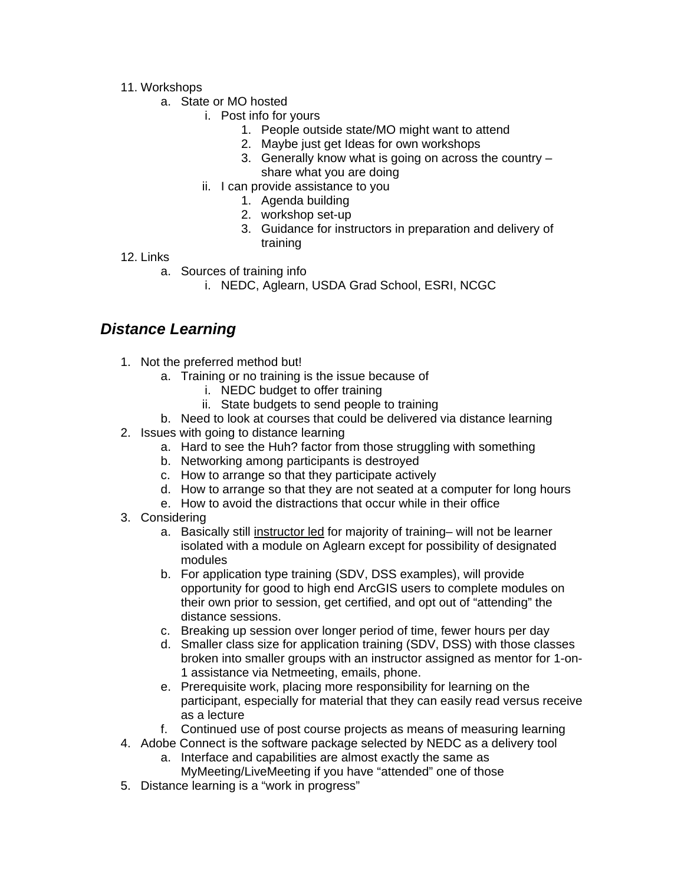- 11. Workshops
	- a. State or MO hosted
		- i. Post info for yours
			- 1. People outside state/MO might want to attend
			- 2. Maybe just get Ideas for own workshops
			- 3. Generally know what is going on across the country share what you are doing
		- ii. I can provide assistance to you
			- 1. Agenda building
			- 2. workshop set-up
			- 3. Guidance for instructors in preparation and delivery of training
- 12. Links
	- a. Sources of training info
		- i. NEDC, Aglearn, USDA Grad School, ESRI, NCGC

### *Distance Learning*

- 1. Not the preferred method but!
	- a. Training or no training is the issue because of
		- i. NEDC budget to offer training
		- ii. State budgets to send people to training
	- b. Need to look at courses that could be delivered via distance learning
- 2. Issues with going to distance learning
	- a. Hard to see the Huh? factor from those struggling with something
	- b. Networking among participants is destroyed
	- c. How to arrange so that they participate actively
	- d. How to arrange so that they are not seated at a computer for long hours
	- e. How to avoid the distractions that occur while in their office
- 3. Considering
	- a. Basically still instructor led for majority of training– will not be learner isolated with a module on Aglearn except for possibility of designated modules
	- b. For application type training (SDV, DSS examples), will provide opportunity for good to high end ArcGIS users to complete modules on their own prior to session, get certified, and opt out of "attending" the distance sessions.
	- c. Breaking up session over longer period of time, fewer hours per day
	- d. Smaller class size for application training (SDV, DSS) with those classes broken into smaller groups with an instructor assigned as mentor for 1-on-1 assistance via Netmeeting, emails, phone.
	- e. Prerequisite work, placing more responsibility for learning on the participant, especially for material that they can easily read versus receive as a lecture
	- f. Continued use of post course projects as means of measuring learning
- 4. Adobe Connect is the software package selected by NEDC as a delivery tool
	- a. Interface and capabilities are almost exactly the same as MyMeeting/LiveMeeting if you have "attended" one of those
- 5. Distance learning is a "work in progress"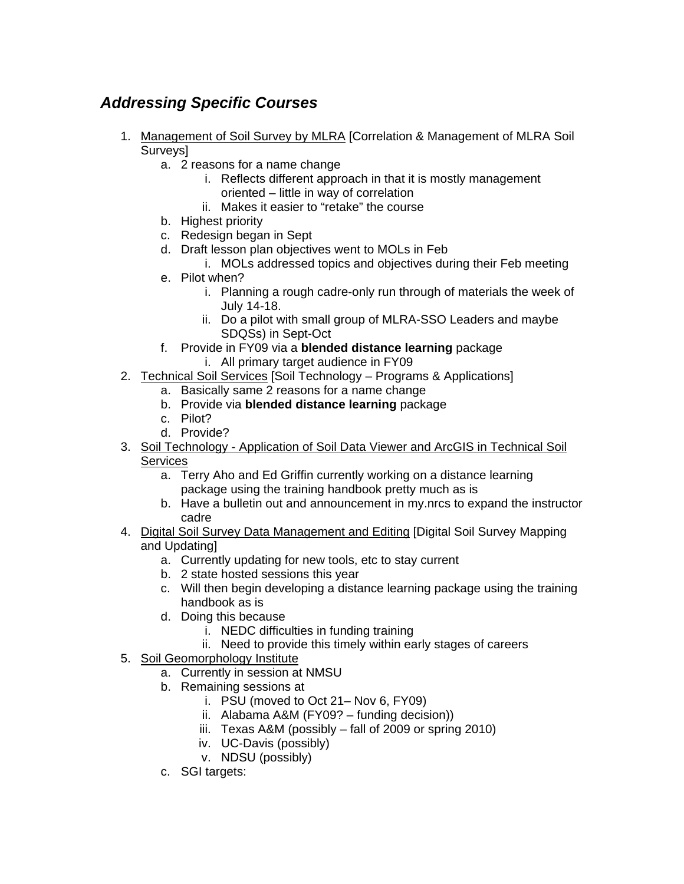## *Addressing Specific Courses*

- 1. Management of Soil Survey by MLRA [Correlation & Management of MLRA Soil Surveys]
	- a. 2 reasons for a name change
		- i. Reflects different approach in that it is mostly management oriented – little in way of correlation
		- ii. Makes it easier to "retake" the course
	- b. Highest priority
	- c. Redesign began in Sept
	- d. Draft lesson plan objectives went to MOLs in Feb
		- i. MOLs addressed topics and objectives during their Feb meeting
	- e. Pilot when?
		- i. Planning a rough cadre-only run through of materials the week of July 14-18.
		- ii. Do a pilot with small group of MLRA-SSO Leaders and maybe SDQSs) in Sept-Oct
	- f. Provide in FY09 via a **blended distance learning** package
		- i. All primary target audience in FY09
- 2. Technical Soil Services [Soil Technology Programs & Applications]
	- a. Basically same 2 reasons for a name change
	- b. Provide via **blended distance learning** package
	- c. Pilot?
	- d. Provide?
- 3. Soil Technology Application of Soil Data Viewer and ArcGIS in Technical Soil **Services** 
	- a. Terry Aho and Ed Griffin currently working on a distance learning package using the training handbook pretty much as is
	- b. Have a bulletin out and announcement in my.nrcs to expand the instructor cadre
- 4. Digital Soil Survey Data Management and Editing [Digital Soil Survey Mapping and Updating]
	- a. Currently updating for new tools, etc to stay current
	- b. 2 state hosted sessions this year
	- c. Will then begin developing a distance learning package using the training handbook as is
	- d. Doing this because
		- i. NEDC difficulties in funding training
		- ii. Need to provide this timely within early stages of careers
- 5. Soil Geomorphology Institute
	- a. Currently in session at NMSU
	- b. Remaining sessions at
		- i. PSU (moved to Oct 21– Nov 6, FY09)
		- ii. Alabama A&M (FY09? funding decision))
		- iii. Texas A&M (possibly fall of 2009 or spring 2010)
		- iv. UC-Davis (possibly)
		- v. NDSU (possibly)
	- c. SGI targets: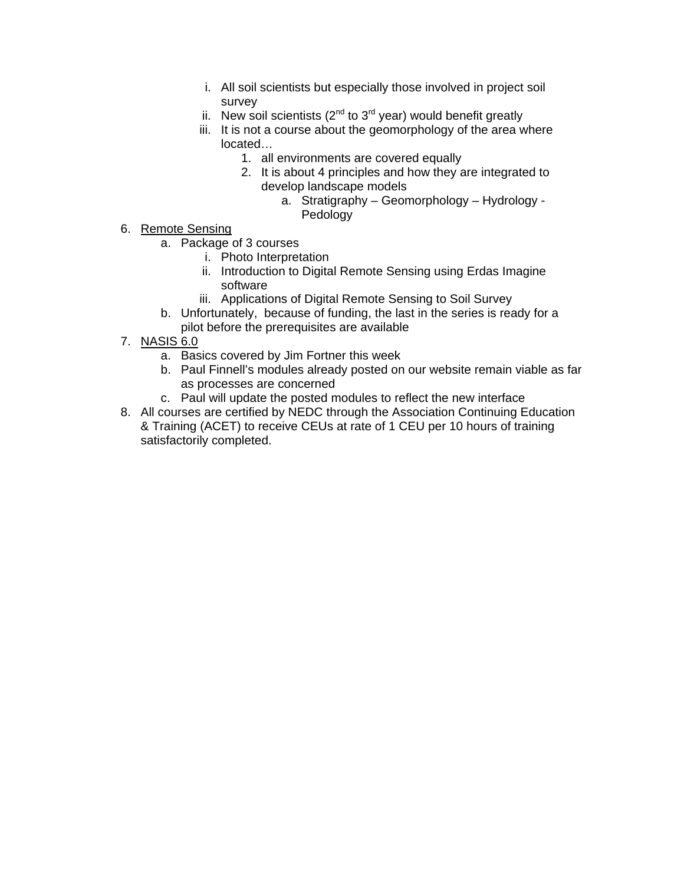- i. All soil scientists but especially those involved in project soil survey
- ii. New soil scientists  $(2^{nd}$  to  $3^{rd}$  year) would benefit greatly
- iii. It is not a course about the geomorphology of the area where located…
	- 1. all environments are covered equally
	- 2. It is about 4 principles and how they are integrated to develop landscape models
		- a. Stratigraphy Geomorphology Hydrology Pedology
- 6. Remote Sensing
	- a. Package of 3 courses
		- i. Photo Interpretation
		- ii. Introduction to Digital Remote Sensing using Erdas Imagine software
		- iii. Applications of Digital Remote Sensing to Soil Survey
	- b. Unfortunately, because of funding, the last in the series is ready for a pilot before the prerequisites are available
- 7. NASIS 6.0
	- a. Basics covered by Jim Fortner this week
	- b. Paul Finnell's modules already posted on our website remain viable as far as processes are concerned
	- c. Paul will update the posted modules to reflect the new interface
- 8. All courses are certified by NEDC through the Association Continuing Education & Training (ACET) to receive CEUs at rate of 1 CEU per 10 hours of training satisfactorily completed.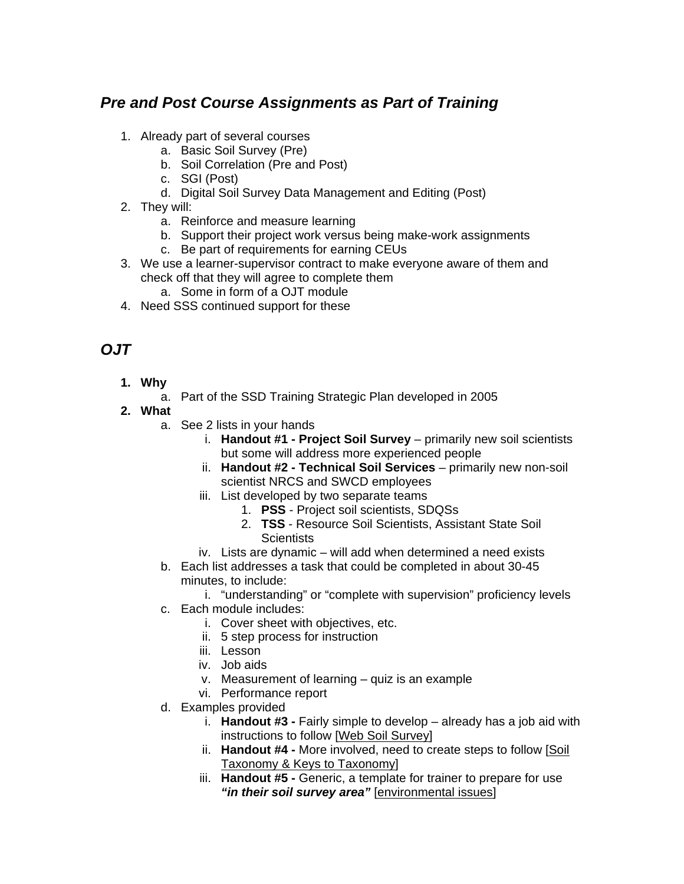### *Pre and Post Course Assignments as Part of Training*

- 1. Already part of several courses
	- a. Basic Soil Survey (Pre)
	- b. Soil Correlation (Pre and Post)
	- c. SGI (Post)
	- d. Digital Soil Survey Data Management and Editing (Post)
- 2. They will:
	- a. Reinforce and measure learning
	- b. Support their project work versus being make-work assignments
	- c. Be part of requirements for earning CEUs
- 3. We use a learner-supervisor contract to make everyone aware of them and check off that they will agree to complete them
	- a. Some in form of a OJT module
- 4. Need SSS continued support for these

### *OJT*

- **1. Why** 
	- a. Part of the SSD Training Strategic Plan developed in 2005
- **2. What** 
	- a. See 2 lists in your hands
		- i. **Handout #1 Project Soil Survey** primarily new soil scientists but some will address more experienced people
		- ii. **Handout #2 Technical Soil Services** primarily new non-soil scientist NRCS and SWCD employees
		- iii. List developed by two separate teams
			- 1. **PSS** Project soil scientists, SDQSs
				- 2. **TSS** Resource Soil Scientists, Assistant State Soil **Scientists**
		- iv. Lists are dynamic will add when determined a need exists
	- b. Each list addresses a task that could be completed in about 30-45 minutes, to include:
		- i. "understanding" or "complete with supervision" proficiency levels
	- c. Each module includes:
		- i. Cover sheet with objectives, etc.
		- ii. 5 step process for instruction
		- iii. Lesson
		- iv. Job aids
		- v. Measurement of learning quiz is an example
		- vi. Performance report
	- d. Examples provided
		- i. **Handout #3 -** Fairly simple to develop already has a job aid with instructions to follow [Web Soil Survey]
		- ii. **Handout #4 -** More involved, need to create steps to follow [Soil Taxonomy & Keys to Taxonomy]
		- iii. **Handout #5 -** Generic, a template for trainer to prepare for use *"in their soil survey area"* [environmental issues]